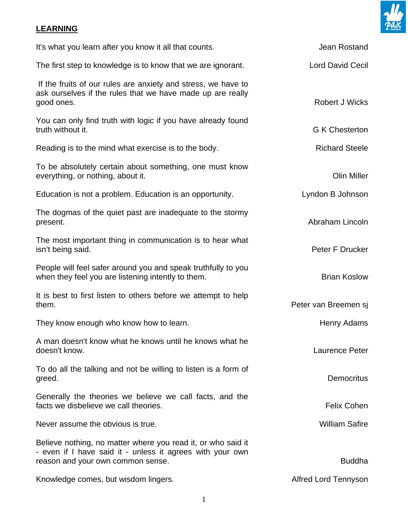

## **LEARNING**

| It's what you learn after you know it all that counts.                                                                                                         | Jean Rostand                |
|----------------------------------------------------------------------------------------------------------------------------------------------------------------|-----------------------------|
| The first step to knowledge is to know that we are ignorant.                                                                                                   | <b>Lord David Cecil</b>     |
| If the fruits of our rules are anxiety and stress, we have to<br>ask ourselves if the rules that we have made up are really<br>good ones.                      | <b>Robert J Wicks</b>       |
| You can only find truth with logic if you have already found<br>truth without it.                                                                              | <b>G K Chesterton</b>       |
| Reading is to the mind what exercise is to the body.                                                                                                           | <b>Richard Steele</b>       |
| To be absolutely certain about something, one must know<br>everything, or nothing, about it.                                                                   | <b>Olin Miller</b>          |
| Education is not a problem. Education is an opportunity.                                                                                                       | Lyndon B Johnson            |
| The dogmas of the quiet past are inadequate to the stormy<br>present.                                                                                          | Abraham Lincoln             |
| The most important thing in communication is to hear what<br>isn't being said.                                                                                 | Peter F Drucker             |
| People will feel safer around you and speak truthfully to you<br>when they feel you are listening intently to them.                                            | <b>Brian Koslow</b>         |
| It is best to first listen to others before we attempt to help<br>them.                                                                                        | Peter van Breemen sj        |
| They know enough who know how to learn.                                                                                                                        | Henry Adams                 |
| A man doesn't know what he knows until he knows what he<br>doesn't know.                                                                                       | Laurence Peter              |
| To do all the talking and not be willing to listen is a form of<br>greed.                                                                                      | <b>Democritus</b>           |
| Generally the theories we believe we call facts, and the<br>facts we disbelieve we call theories.                                                              | <b>Felix Cohen</b>          |
| Never assume the obvious is true.                                                                                                                              | <b>William Safire</b>       |
| Believe nothing, no matter where you read it, or who said it<br>- even if I have said it - unless it agrees with your own<br>reason and your own common sense. | <b>Buddha</b>               |
| Knowledge comes, but wisdom lingers.                                                                                                                           | <b>Alfred Lord Tennyson</b> |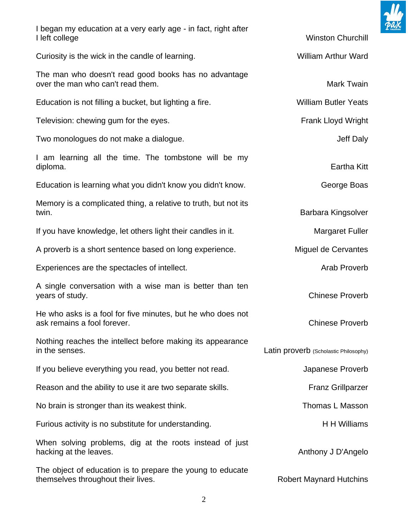

| I began my education at a very early age - in fact, right after<br>I left college                | <b>Winston Churchill</b>              |
|--------------------------------------------------------------------------------------------------|---------------------------------------|
| Curiosity is the wick in the candle of learning.                                                 | <b>William Arthur Ward</b>            |
| The man who doesn't read good books has no advantage<br>over the man who can't read them.        | Mark Twain                            |
| Education is not filling a bucket, but lighting a fire.                                          | <b>William Butler Yeats</b>           |
| Television: chewing gum for the eyes.                                                            | <b>Frank Lloyd Wright</b>             |
| Two monologues do not make a dialogue.                                                           | Jeff Daly                             |
| I am learning all the time. The tombstone will be my<br>diploma.                                 | <b>Eartha Kitt</b>                    |
| Education is learning what you didn't know you didn't know.                                      | George Boas                           |
| Memory is a complicated thing, a relative to truth, but not its<br>twin.                         | Barbara Kingsolver                    |
| If you have knowledge, let others light their candles in it.                                     | <b>Margaret Fuller</b>                |
| A proverb is a short sentence based on long experience.                                          | Miguel de Cervantes                   |
| Experiences are the spectacles of intellect.                                                     | Arab Proverb                          |
| A single conversation with a wise man is better than ten<br>years of study.                      | <b>Chinese Proverb</b>                |
| He who asks is a fool for five minutes, but he who does not<br>ask remains a fool forever.       | <b>Chinese Proverb</b>                |
| Nothing reaches the intellect before making its appearance<br>in the senses.                     | Latin proverb (Scholastic Philosophy) |
| If you believe everything you read, you better not read.                                         | Japanese Proverb                      |
| Reason and the ability to use it are two separate skills.                                        | <b>Franz Grillparzer</b>              |
| No brain is stronger than its weakest think.                                                     | Thomas L Masson                       |
| Furious activity is no substitute for understanding.                                             | H H Williams                          |
| When solving problems, dig at the roots instead of just<br>hacking at the leaves.                | Anthony J D'Angelo                    |
| The object of education is to prepare the young to educate<br>themselves throughout their lives. | <b>Robert Maynard Hutchins</b>        |